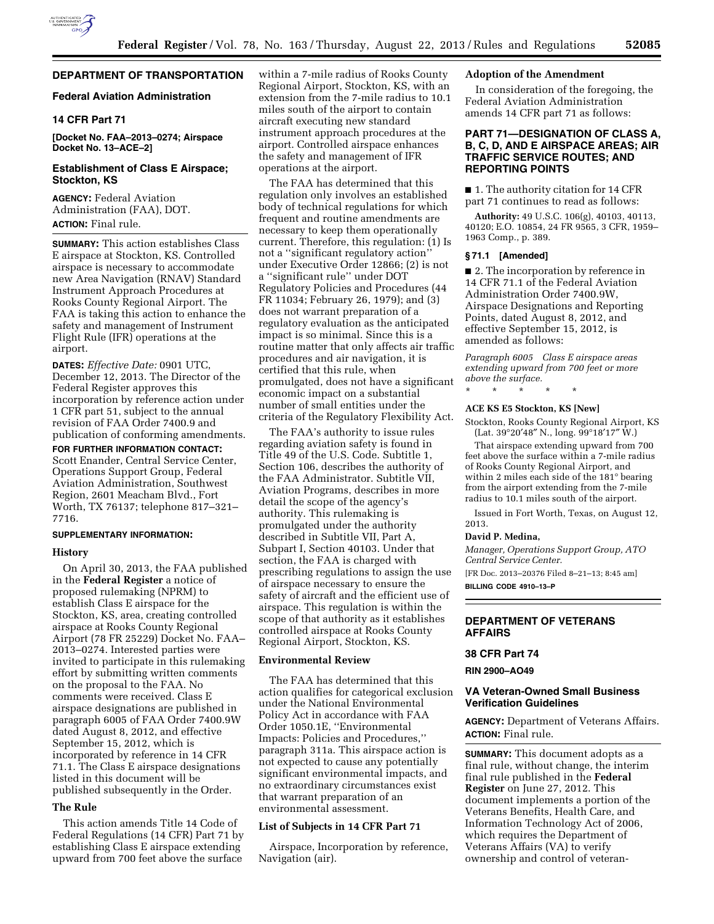

# **DEPARTMENT OF TRANSPORTATION**

## **Federal Aviation Administration**

# **14 CFR Part 71**

**[Docket No. FAA–2013–0274; Airspace Docket No. 13–ACE–2]** 

## **Establishment of Class E Airspace; Stockton, KS**

**AGENCY:** Federal Aviation Administration (FAA), DOT. **ACTION:** Final rule.

**SUMMARY:** This action establishes Class E airspace at Stockton, KS. Controlled airspace is necessary to accommodate new Area Navigation (RNAV) Standard Instrument Approach Procedures at Rooks County Regional Airport. The FAA is taking this action to enhance the safety and management of Instrument Flight Rule (IFR) operations at the airport.

**DATES:** *Effective Date:* 0901 UTC, December 12, 2013. The Director of the Federal Register approves this incorporation by reference action under 1 CFR part 51, subject to the annual revision of FAA Order 7400.9 and publication of conforming amendments.

**FOR FURTHER INFORMATION CONTACT:**  Scott Enander, Central Service Center, Operations Support Group, Federal Aviation Administration, Southwest Region, 2601 Meacham Blvd., Fort Worth, TX 76137; telephone 817–321– 7716.

#### **SUPPLEMENTARY INFORMATION:**

#### **History**

On April 30, 2013, the FAA published in the **Federal Register** a notice of proposed rulemaking (NPRM) to establish Class E airspace for the Stockton, KS, area, creating controlled airspace at Rooks County Regional Airport (78 FR 25229) Docket No. FAA– 2013–0274. Interested parties were invited to participate in this rulemaking effort by submitting written comments on the proposal to the FAA. No comments were received. Class E airspace designations are published in paragraph 6005 of FAA Order 7400.9W dated August 8, 2012, and effective September 15, 2012, which is incorporated by reference in 14 CFR 71.1. The Class E airspace designations listed in this document will be published subsequently in the Order.

### **The Rule**

This action amends Title 14 Code of Federal Regulations (14 CFR) Part 71 by establishing Class E airspace extending upward from 700 feet above the surface

within a 7-mile radius of Rooks County Regional Airport, Stockton, KS, with an extension from the 7-mile radius to 10.1 miles south of the airport to contain aircraft executing new standard instrument approach procedures at the airport. Controlled airspace enhances the safety and management of IFR operations at the airport.

The FAA has determined that this regulation only involves an established body of technical regulations for which frequent and routine amendments are necessary to keep them operationally current. Therefore, this regulation: (1) Is not a ''significant regulatory action'' under Executive Order 12866; (2) is not a ''significant rule'' under DOT Regulatory Policies and Procedures (44 FR 11034; February 26, 1979); and (3) does not warrant preparation of a regulatory evaluation as the anticipated impact is so minimal. Since this is a routine matter that only affects air traffic procedures and air navigation, it is certified that this rule, when promulgated, does not have a significant economic impact on a substantial number of small entities under the criteria of the Regulatory Flexibility Act.

The FAA's authority to issue rules regarding aviation safety is found in Title 49 of the U.S. Code. Subtitle 1, Section 106, describes the authority of the FAA Administrator. Subtitle VII, Aviation Programs, describes in more detail the scope of the agency's authority. This rulemaking is promulgated under the authority described in Subtitle VII, Part A, Subpart I, Section 40103. Under that section, the FAA is charged with prescribing regulations to assign the use of airspace necessary to ensure the safety of aircraft and the efficient use of airspace. This regulation is within the scope of that authority as it establishes controlled airspace at Rooks County Regional Airport, Stockton, KS.

### **Environmental Review**

The FAA has determined that this action qualifies for categorical exclusion under the National Environmental Policy Act in accordance with FAA Order 1050.1E, ''Environmental Impacts: Policies and Procedures,'' paragraph 311a. This airspace action is not expected to cause any potentially significant environmental impacts, and no extraordinary circumstances exist that warrant preparation of an environmental assessment.

### **List of Subjects in 14 CFR Part 71**

Airspace, Incorporation by reference, Navigation (air).

# **Adoption of the Amendment**

In consideration of the foregoing, the Federal Aviation Administration amends 14 CFR part 71 as follows:

### **PART 71—DESIGNATION OF CLASS A, B, C, D, AND E AIRSPACE AREAS; AIR TRAFFIC SERVICE ROUTES; AND REPORTING POINTS**

■ 1. The authority citation for 14 CFR part 71 continues to read as follows:

**Authority:** 49 U.S.C. 106(g), 40103, 40113, 40120; E.O. 10854, 24 FR 9565, 3 CFR, 1959– 1963 Comp., p. 389.

### **§ 71.1 [Amended]**

■ 2. The incorporation by reference in 14 CFR 71.1 of the Federal Aviation Administration Order 7400.9W, Airspace Designations and Reporting Points, dated August 8, 2012, and effective September 15, 2012, is amended as follows:

*Paragraph 6005 Class E airspace areas extending upward from 700 feet or more above the surface.* 

\* \* \* \* \*

### **ACE KS E5 Stockton, KS [New]**

Stockton, Rooks County Regional Airport, KS (Lat. 39°20′48″ N., long. 99°18′17″ W.)

That airspace extending upward from 700 feet above the surface within a 7-mile radius of Rooks County Regional Airport, and within 2 miles each side of the 181° bearing from the airport extending from the 7-mile radius to 10.1 miles south of the airport.

Issued in Fort Worth, Texas, on August 12, 2013.

#### **David P. Medina,**

*Manager, Operations Support Group, ATO Central Service Center.*  [FR Doc. 2013–20376 Filed 8–21–13; 8:45 am]

**BILLING CODE 4910–13–P** 

## **DEPARTMENT OF VETERANS AFFAIRS**

### **38 CFR Part 74**

### **RIN 2900–AO49**

### **VA Veteran-Owned Small Business Verification Guidelines**

**AGENCY:** Department of Veterans Affairs. **ACTION:** Final rule.

**SUMMARY:** This document adopts as a final rule, without change, the interim final rule published in the **Federal Register** on June 27, 2012. This document implements a portion of the Veterans Benefits, Health Care, and Information Technology Act of 2006, which requires the Department of Veterans Affairs (VA) to verify ownership and control of veteran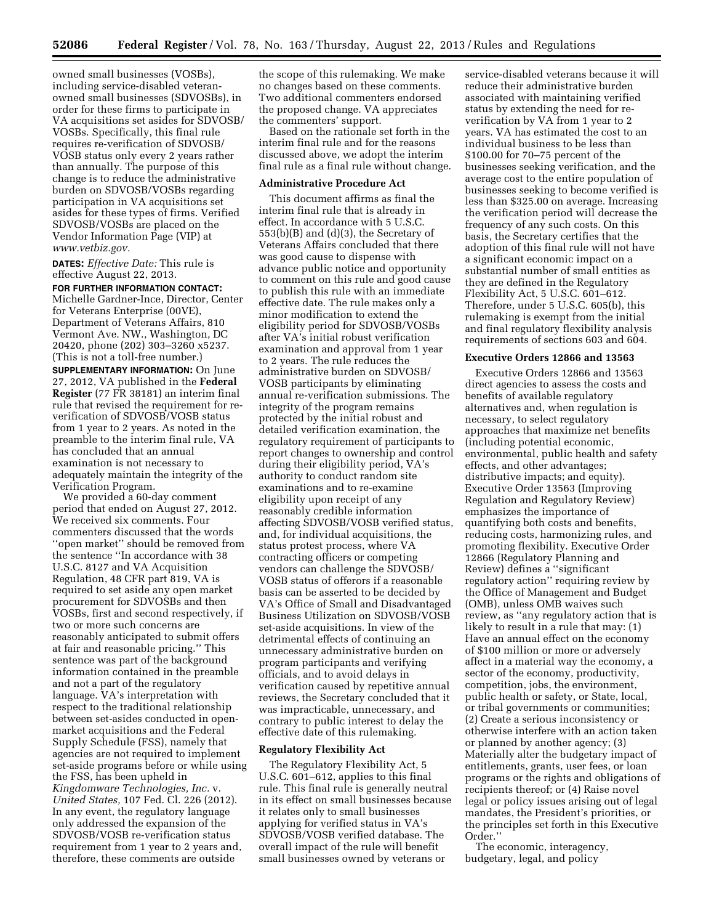owned small businesses (VOSBs), including service-disabled veteranowned small businesses (SDVOSBs), in order for these firms to participate in VA acquisitions set asides for SDVOSB/ VOSBs. Specifically, this final rule requires re-verification of SDVOSB/ VOSB status only every 2 years rather than annually. The purpose of this change is to reduce the administrative burden on SDVOSB/VOSBs regarding participation in VA acquisitions set asides for these types of firms. Verified SDVOSB/VOSBs are placed on the Vendor Information Page (VIP) at *[www.vetbiz.gov.](http://www.vetbiz.gov)* 

**DATES:** *Effective Date:* This rule is effective August 22, 2013.

**FOR FURTHER INFORMATION CONTACT:**  Michelle Gardner-Ince, Director, Center for Veterans Enterprise (00VE), Department of Veterans Affairs, 810 Vermont Ave. NW., Washington, DC 20420, phone (202) 303–3260 x5237. (This is not a toll-free number.) **SUPPLEMENTARY INFORMATION:** On June 27, 2012, VA published in the **Federal Register** (77 FR 38181) an interim final rule that revised the requirement for reverification of SDVOSB/VOSB status from 1 year to 2 years. As noted in the preamble to the interim final rule, VA has concluded that an annual examination is not necessary to adequately maintain the integrity of the

Verification Program. We provided a 60-day comment period that ended on August 27, 2012. We received six comments. Four commenters discussed that the words ''open market'' should be removed from the sentence ''In accordance with 38 U.S.C. 8127 and VA Acquisition Regulation, 48 CFR part 819, VA is required to set aside any open market procurement for SDVOSBs and then VOSBs, first and second respectively, if two or more such concerns are reasonably anticipated to submit offers at fair and reasonable pricing.'' This sentence was part of the background information contained in the preamble and not a part of the regulatory language. VA's interpretation with respect to the traditional relationship between set-asides conducted in openmarket acquisitions and the Federal Supply Schedule (FSS), namely that agencies are not required to implement set-aside programs before or while using the FSS, has been upheld in *Kingdomware Technologies, Inc.* v. *United States,* 107 Fed. Cl. 226 (2012). In any event, the regulatory language only addressed the expansion of the SDVOSB/VOSB re-verification status requirement from 1 year to 2 years and, therefore, these comments are outside

the scope of this rulemaking. We make no changes based on these comments. Two additional commenters endorsed the proposed change. VA appreciates the commenters' support.

Based on the rationale set forth in the interim final rule and for the reasons discussed above, we adopt the interim final rule as a final rule without change.

### **Administrative Procedure Act**

This document affirms as final the interim final rule that is already in effect. In accordance with 5 U.S.C. 553(b)(B) and (d)(3), the Secretary of Veterans Affairs concluded that there was good cause to dispense with advance public notice and opportunity to comment on this rule and good cause to publish this rule with an immediate effective date. The rule makes only a minor modification to extend the eligibility period for SDVOSB/VOSBs after VA's initial robust verification examination and approval from 1 year to 2 years. The rule reduces the administrative burden on SDVOSB/ VOSB participants by eliminating annual re-verification submissions. The integrity of the program remains protected by the initial robust and detailed verification examination, the regulatory requirement of participants to report changes to ownership and control during their eligibility period, VA's authority to conduct random site examinations and to re-examine eligibility upon receipt of any reasonably credible information affecting SDVOSB/VOSB verified status, and, for individual acquisitions, the status protest process, where VA contracting officers or competing vendors can challenge the SDVOSB/ VOSB status of offerors if a reasonable basis can be asserted to be decided by VA's Office of Small and Disadvantaged Business Utilization on SDVOSB/VOSB set-aside acquisitions. In view of the detrimental effects of continuing an unnecessary administrative burden on program participants and verifying officials, and to avoid delays in verification caused by repetitive annual reviews, the Secretary concluded that it was impracticable, unnecessary, and contrary to public interest to delay the effective date of this rulemaking.

#### **Regulatory Flexibility Act**

The Regulatory Flexibility Act, 5 U.S.C. 601–612, applies to this final rule. This final rule is generally neutral in its effect on small businesses because it relates only to small businesses applying for verified status in VA's SDVOSB/VOSB verified database. The overall impact of the rule will benefit small businesses owned by veterans or

service-disabled veterans because it will reduce their administrative burden associated with maintaining verified status by extending the need for reverification by VA from 1 year to 2 years. VA has estimated the cost to an individual business to be less than \$100.00 for 70–75 percent of the businesses seeking verification, and the average cost to the entire population of businesses seeking to become verified is less than \$325.00 on average. Increasing the verification period will decrease the frequency of any such costs. On this basis, the Secretary certifies that the adoption of this final rule will not have a significant economic impact on a substantial number of small entities as they are defined in the Regulatory Flexibility Act, 5 U.S.C. 601–612. Therefore, under 5 U.S.C. 605(b), this rulemaking is exempt from the initial and final regulatory flexibility analysis requirements of sections 603 and 604.

#### **Executive Orders 12866 and 13563**

Executive Orders 12866 and 13563 direct agencies to assess the costs and benefits of available regulatory alternatives and, when regulation is necessary, to select regulatory approaches that maximize net benefits (including potential economic, environmental, public health and safety effects, and other advantages; distributive impacts; and equity). Executive Order 13563 (Improving Regulation and Regulatory Review) emphasizes the importance of quantifying both costs and benefits, reducing costs, harmonizing rules, and promoting flexibility. Executive Order 12866 (Regulatory Planning and Review) defines a ''significant regulatory action'' requiring review by the Office of Management and Budget (OMB), unless OMB waives such review, as ''any regulatory action that is likely to result in a rule that may: (1) Have an annual effect on the economy of \$100 million or more or adversely affect in a material way the economy, a sector of the economy, productivity, competition, jobs, the environment, public health or safety, or State, local, or tribal governments or communities; (2) Create a serious inconsistency or otherwise interfere with an action taken or planned by another agency; (3) Materially alter the budgetary impact of entitlements, grants, user fees, or loan programs or the rights and obligations of recipients thereof; or (4) Raise novel legal or policy issues arising out of legal mandates, the President's priorities, or the principles set forth in this Executive Order.''

The economic, interagency, budgetary, legal, and policy